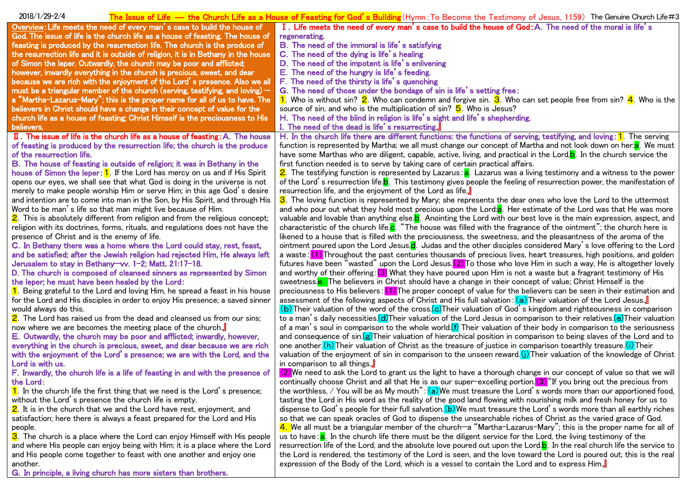| Overview: Life meets the need of every man's case to build the house of                 | I. Life meets the need of every man's case to build the house of God: A. The need of the moral is life's                         |
|-----------------------------------------------------------------------------------------|----------------------------------------------------------------------------------------------------------------------------------|
| God. The issue of life is the church life as a house of feasting. The house of          | regenerating.                                                                                                                    |
| feasting is produced by the resurrection life. The church is the produce of             | B. The need of the immoral is life's satisfying                                                                                  |
| the resurrection life and it is outside of religion, it is in Bethany in the house      | C. The need of the dying is life's healing                                                                                       |
| of Simon the leper. Outwardly, the church may be poor and afflicted;                    | D. The need of the impotent is life's enlivening                                                                                 |
| however, inwardly everything in the church is precious, sweet, and dear                 | E. The need of the hungry is life's feeding.                                                                                     |
| because we are rich with the enjoyment of the Lord's presence. Also we all              | F. The need of the thirsty is life's quenching                                                                                   |
| must be a triangular member of the church (serving, testifying, and loving) -           | G. The need of those under the bondage of sin is life's setting free:                                                            |
| a "Martha-Lazarus-Mary"; this is the proper name for all of us to have. The             | 1. Who is without sin? $2$ . Who can condemn and forgive sin. $3$ . Who can set people free from sin? 4. Who is the              |
| believers in Christ should have a change in their concept of value for the              | source of sin, and who is the multiplication of sin? <mark>5</mark> . Who is Jesus?                                              |
| church life as a house of feasting; Christ Himself is the preciousness to His           | H. The need of the blind in religion is life's sight and life's shepherding.                                                     |
| believers.                                                                              | I. The need of the dead is life's resurrecting.                                                                                  |
| $\mathbf I$ . The issue of life is the church life as a house of feasting: A. The house | H. In the church life there are different functions: the functions of serving, testifying, and loving: 1. The serving            |
| of feasting is produced by the resurrection life; the church is the produce             | function is represented by Martha; we all must change our concept of Martha and not look down on her: <mark>a</mark> . We must   |
| of the resurrection life.                                                               | have some Marthas who are diligent, capable, active, living, and practical in the Lord. <b>b</b> . In the church service the     |
| B. The house of feasting is outside of religion; it was in Bethany in the               | first function needed is to serve by taking care of certain practical affairs.                                                   |
| house of Simon the leper: 1. If the Lord has mercy on us and if His Spirit              | $2$ . The testifying function is represented by Lazarus: $a$ . Lazarus was a living testimony and a witness to the power         |
| opens our eyes, we shall see that what God is doing in the universe is not              | of the Lord's resurrection life. <b>b</b> . This testimony gives people the feeling of resurrection power, the manifestation of  |
| merely to make people worship Him or serve Him; in this age God's desire                | resurrection life, and the enjoyment of the Lord as life.                                                                        |
| and intention are to come into man in the Son, by His Spirit, and through His           | 3. The loving function is represented by Mary; she represents the dear ones who love the Lord to the uttermost                   |
| Word to be man's life so that man might live because of Him.                            | and who pour out what they hold most precious upon the Lord: <b>a</b> . Her estimate of the Lord was that He was more            |
| 2. This is absolutely different from religion and from the religious concept;           | valuable and lovable than anything else. <b>b</b> . Anointing the Lord with our best love is the main expression, aspect, and    |
| religion with its doctrines, forms, rituals, and regulations does not have the          | characteristic of the church life. <sup>2</sup> The house was filled with the fragrance of the ointment"; the church here is     |
| presence of Christ and is the enemy of life.                                            | likened to a house that is filled with the preciousness, the sweetness, and the pleasantness of the aroma of the                 |
| C. In Bethany there was a home where the Lord could stay, rest, feast,                  | ointment poured upon the Lord Jesus.d. Judas and the other disciples considered Mary's love offering to the Lord                 |
| and be satisfied; after the Jewish religion had rejected Him, He always left            | a waste: (1) Throughout the past centuries thousands of precious lives, heart treasures, high positions, and golden              |
| Jerusalem to stay in Bethany-vv. 1-2; Matt. 21:17-18.                                   | futures have been "wasted" upon the Lord Jesus $(2)$ To those who love Him in such a way, He is altogether lovely                |
| D. The church is composed of cleansed sinners as represented by Simon                   | and worthy of their offering: (3) What they have poured upon Him is not a waste but a fragrant testimony of His                  |
| the leper; he must have been healed by the Lord:                                        | sweetness. <b>e.</b> The believers in Christ should have a change in their concept of value; Christ Himself is the               |
| 1. Being grateful to the Lord and loving Him, he spread a feast in his house            | preciousness to His believers: (1) The proper concept of value for the believers can be seen in their estimation and             |
| for the Lord and His disciples in order to enjoy His presence; a saved sinner           | assessment of the following aspects of Christ and His full salvation: $(a)$ Their valuation of the Lord Jesus.                   |
| would always do this.                                                                   | (b) Their valuation of the word of the cross (c) Their valuation of God's kingdom and righteousness in comparison                |
| 2. The Lord has raised us from the dead and cleansed us from our sins;                  | to a man's daily necessities. (d)Their valuation of the Lord Jesus in comparison to their relatives. (e)Their valuation          |
| now where we are becomes the meeting place of the church.                               | of a man's soul in comparison to the whole world. $(f)$ Their valuation of their body in comparison to the seriousness           |
| E. Outwardly, the church may be poor and afflicted; inwardly, however,                  | and consequence of sin.(g)Their valuation of hierarchical position in comparison to being slaves of the Lord and to              |
| everything in the church is precious, sweet, and dear because we are rich               | one another. (h) Their valuation of Christ as the treasure of justice in comparison toearthly treasure. (i) Their                |
| with the enjoyment of the Lord's presence; we are with the Lord, and the                | valuation of the enjoyment of sin in comparison to the unseen reward. $(j)$ Their valuation of the knowledge of Christ           |
| Lord is with us.                                                                        | in comparison to all things.                                                                                                     |
| F. Inwardly, the church life is a life of feasting in and with the presence of          | (2) We need to ask the Lord to grant us the light to have a thorough change in our concept of value so that we will              |
| the Lord:                                                                               | continually choose Christ and all that He is as our super-excelling portion. <sup>(3)</sup> "If you bring out the precious from  |
| $\mathsf{1}$ . In the church life the first thing that we need is the Lord's presence;  | the worthless, / You will be as My mouth": (a) We must treasure the Lord's words more than our apportioned food,                 |
| without the Lord's presence the church life is empty.                                   | tasting the Lord in His word as the reality of the good land flowing with nourishing milk and fresh honey for us to              |
| 2. It is in the church that we and the Lord have rest, enjoyment, and                   | dispense to God's people for their full salvation. (b) We must treasure the Lord's words more than all earthly riches            |
| satisfaction; here there is always a feast prepared for the Lord and His                | so that we can speak oracles of God to dispense the unsearchable riches of Christ as the varied grace of God.                    |
| people.                                                                                 | 4. We all must be a triangular member of the church—a "Martha-Lazarus-Mary"; this is the proper name for all of                  |
| 3. The church is a place where the Lord can enjoy Himself with His people               | us to have: a. In the church life there must be the diligent service for the Lord, the living testimony of the                   |
| and where His people can enjoy being with Him; it is a place where the Lord             | resurrection life of the Lord, and the absolute love poured out upon the Lord. <b>b</b> . In the real church life the service to |
| and His people come together to feast with one another and enjoy one                    | the Lord is rendered, the testimony of the Lord is seen, and the love toward the Lord is poured out; this is the real            |
| another.                                                                                | expression of the Body of the Lord, which is a vessel to contain the Lord and to express Him.                                    |
| G. In principle, a living church has more sisters than brothers.                        |                                                                                                                                  |
|                                                                                         |                                                                                                                                  |

2018/1/29–2/4 <mark>The Issue of Life — the Church Life as a House of Feasting for God's Building</mark> (Hymn:To Become the Testimony of Jesus, 1159)The Genuine Church Life#3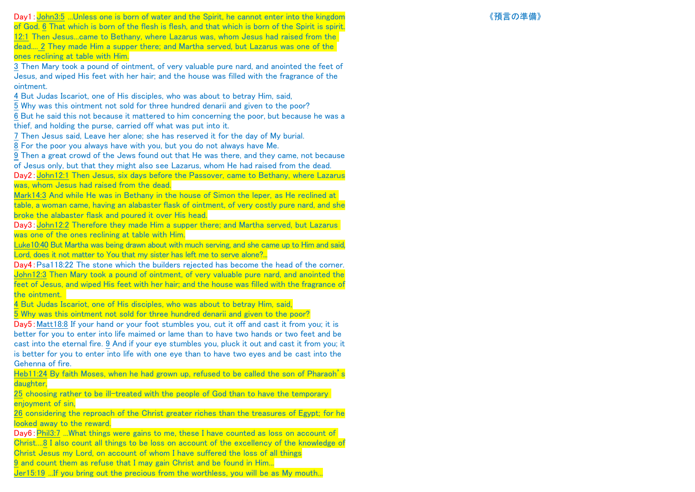Day1: John3:5 ...Unless one is born of water and the Spirit, he cannot enter into the kingdom of God. 6 That which is born of the flesh is flesh, and that which is born of the Spirit is spirit. 12:1 Then Jesus...came to Bethany, where Lazarus was, whom Jesus had raised from the dead.... 2 They made Him a supper there; and Martha served, but Lazarus was one of the ones reclining at table with Him.

3 Then Mary took a pound of ointment, of very valuable pure nard, and anointed the feet of Jesus, and wiped His feet with her hair; and the house was filled with the fragrance of the ointment.

4 But Judas Iscariot, one of His disciples, who was about to betray Him, said,

5 Why was this ointment not sold for three hundred denarii and given to the poor?

6 But he said this not because it mattered to him concerning the poor, but because he was a thief, and holding the purse, carried off what was put into it.

7 Then Jesus said, Leave her alone; she has reserved it for the day of My burial.

8 For the poor you always have with you, but you do not always have Me.

9 Then a great crowd of the Jews found out that He was there, and they came, not because of Jesus only, but that they might also see Lazarus, whom He had raised from the dead.

Day2: John12:1 Then Jesus, six days before the Passover, came to Bethany, where Lazarus was, whom Jesus had raised from the dead.

Mark14:3 And while He was in Bethany in the house of Simon the leper, as He reclined at table, a woman came, having an alabaster flask of ointment, of very costly pure nard, and she broke the alabaster flask and poured it over His head.

Day3: John12:2 Therefore they made Him a supper there; and Martha served, but Lazarus was one of the ones reclining at table with Him.

Luke10:40 But Martha was being drawn about with much serving, and she came up to Him and said, Lord, does it not matter to You that my sister has left me to serve alone?...

Day4:Psa118:22 The stone which the builders rejected has become the head of the corner. John12:3 Then Mary took a pound of ointment, of very valuable pure nard, and anointed the feet of Jesus, and wiped His feet with her hair; and the house was filled with the fragrance of the ointment.

4 But Judas Iscariot, one of His disciples, who was about to betray Him, said,

5 Why was this ointment not sold for three hundred denarii and given to the poor?

Day5:Matt18:8 If your hand or your foot stumbles you, cut it off and cast it from you; it is better for you to enter into life maimed or lame than to have two hands or two feet and be cast into the eternal fire. 9 And if your eye stumbles you, pluck it out and cast it from you; it is better for you to enter into life with one eye than to have two eyes and be cast into the Gehenna of fire.

Heb11:24 By faith Moses, when he had grown up, refused to be called the son of Pharaoh's daughter,

25 choosing rather to be ill-treated with the people of God than to have the temporary enjoyment of sin,

26 considering the reproach of the Christ greater riches than the treasures of Egypt; for he looked away to the reward.

Day6:Phil3:7 ...What things were gains to me, these I have counted as loss on account of Christ....8 I also count all things to be loss on account of the excellency of the knowledge of Christ Jesus my Lord, on account of whom I have suffered the loss of all things 9 and count them as refuse that I may gain Christ and be found in Him... Jer15:19 ...If you bring out the precious from the worthless, you will be as My mouth...

# 《預言の準備》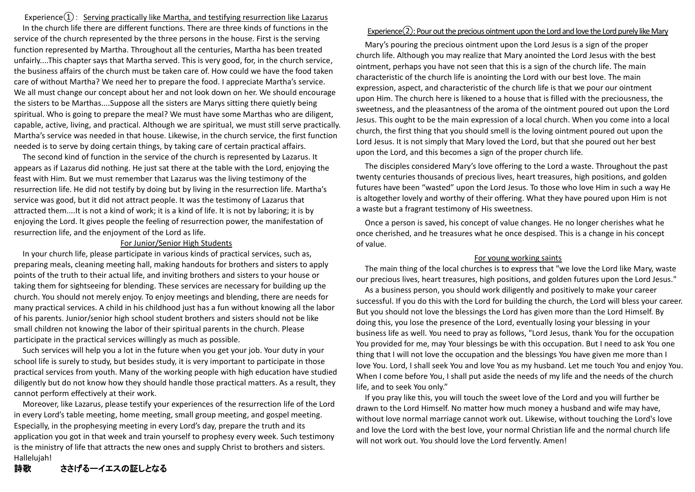Experience $(1)$ : Serving practically like Martha, and testifying resurrection like Lazarus In the church life there are different functions. There are three kinds of functions in the service of the church represented by the three persons in the house. First is the serving function represented by Martha. Throughout all the centuries, Martha has been treated unfairly....This chapter says that Martha served. This is very good, for, in the church service, the business affairs of the church must be taken care of. How could we have the food taken care of without Martha? We need her to prepare the food. I appreciate Martha's service. We all must change our concept about her and not look down on her. We should encourage the sisters to be Marthas....Suppose all the sisters are Marys sitting there quietly being spiritual. Who is going to prepare the meal? We must have some Marthas who are diligent, capable, active, living, and practical. Although we are spiritual, we must still serve practically. Martha's service was needed in that house. Likewise, in the church service, the first function needed is to serve by doing certain things, by taking care of certain practical affairs.

The second kind of function in the service of the church is represented by Lazarus. It appears as if Lazarus did nothing. He just sat there at the table with the Lord, enjoying the feast with Him. But we must remember that Lazarus was the living testimony of the resurrection life. He did not testify by doing but by living in the resurrection life. Martha's service was good, but it did not attract people. It was the testimony of Lazarus that attracted them....It is not a kind of work; it is a kind of life. It is not by laboring; it is by enjoying the Lord. It gives people the feeling of resurrection power, the manifestation of resurrection life, and the enjoyment of the Lord as life.

#### For Junior/Senior High Students

In your church life, please participate in various kinds of practical services, such as, preparing meals, cleaning meeting hall, making handouts for brothers and sisters to apply points of the truth to their actual life, and inviting brothers and sisters to your house or taking them for sightseeing for blending. These services are necessary for building up the church. You should not merely enjoy. To enjoy meetings and blending, there are needs for many practical services. A child in his childhood just has a fun without knowing all the labor of his parents. Junior/senior high school student brothers and sisters should not be like small children not knowing the labor of their spiritual parents in the church. Please participate in the practical services willingly as much as possible.

Such services will help you a lot in the future when you get your job. Your duty in your school life is surely to study, but besides study, it is very important to participate in those practical services from youth. Many of the working people with high education have studied diligently but do not know how they should handle those practical matters. As a result, they cannot perform effectively at their work.

Moreover, like Lazarus, please testify your experiences of the resurrection life of the Lord in every Lord's table meeting, home meeting, small group meeting, and gospel meeting. Especially, in the prophesying meeting in every Lord's day, prepare the truth and its application you got in that week and train yourself to prophesy every week. Such testimony is the ministry of life that attracts the new ones and supply Christ to brothers and sisters. Hallelujah!

### Experience $(2)$ : Pour out the precious ointment upon the Lord and love the Lord purely like Mary

Mary's pouring the precious ointment upon the Lord Jesus is a sign of the proper church life. Although you may realize that Mary anointed the Lord Jesus with the best ointment, perhaps you have not seen that this is a sign of the church life. The main characteristic of the church life is anointing the Lord with our best love. The main expression, aspect, and characteristic of the church life is that we pour our ointment upon Him. The church here is likened to a house that is filled with the preciousness, the sweetness, and the pleasantness of the aroma of the ointment poured out upon the Lord Jesus. This ought to be the main expression of a local church. When you come into a local church, the first thing that you should smell is the loving ointment poured out upon the Lord Jesus. It is not simply that Mary loved the Lord, but that she poured out her best upon the Lord, and this becomes a sign of the proper church life.

The disciples considered Mary's love offering to the Lord a waste. Throughout the past twenty centuries thousands of precious lives, heart treasures, high positions, and golden futures have been "wasted" upon the Lord Jesus. To those who love Him in such a way He is altogether lovely and worthy of their offering. What they have poured upon Him is not a waste but a fragrant testimony of His sweetness.

Once a person is saved, his concept of value changes. He no longer cherishes what he once cherished, and he treasures what he once despised. This is a change in his concept of value.

#### For young working saints

The main thing of the local churches is to express that "we love the Lord like Mary, waste our precious lives, heart treasures, high positions, and golden futures upon the Lord Jesus."

As a business person, you should work diligently and positively to make your career successful. If you do this with the Lord for building the church, the Lord will bless your career. But you should not love the blessings the Lord has given more than the Lord Himself. By doing this, you lose the presence of the Lord, eventually losing your blessing in your business life as well. You need to pray as follows, "Lord Jesus, thank You for the occupation You provided for me, may Your blessings be with this occupation. But I need to ask You one thing that I will not love the occupation and the blessings You have given me more than I love You. Lord, I shall seek You and love You as my husband. Let me touch You and enjoy You. When I come before You, I shall put aside the needs of my life and the needs of the church life, and to seek You only."

If you pray like this, you will touch the sweet love of the Lord and you will further be drawn to the Lord Himself. No matter how much money a husband and wife may have, without love normal marriage cannot work out. Likewise, without touching the Lord's love and love the Lord with the best love, your normal Christian life and the normal church life will not work out. You should love the Lord fervently. Amen!